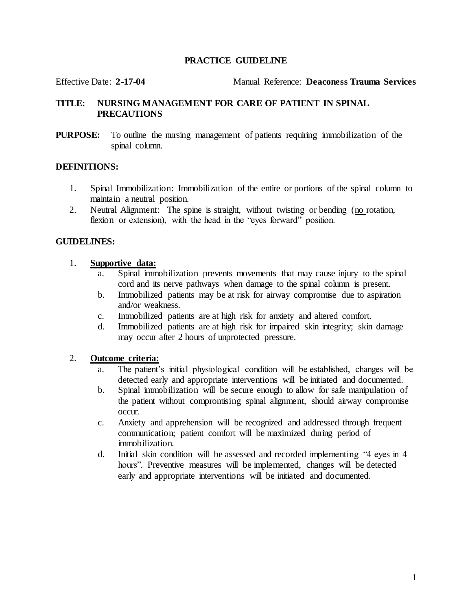#### **PRACTICE GUIDELINE**

Effective Date: **2-17-04** Manual Reference: **Deaconess Trauma Services**

#### **TITLE: NURSING MANAGEMENT FOR CARE OF PATIENT IN SPINAL PRECAUTIONS**

**PURPOSE:** To outline the nursing management of patients requiring immobilization of the spinal column.

#### **DEFINITIONS:**

- 1. Spinal Immobilization: Immobilization of the entire or portions of the spinal column to maintain a neutral position.
- 2. Neutral Alignment: The spine is straight, without twisting or bending (no rotation, flexion or extension), with the head in the "eyes forward" position.

#### **GUIDELINES:**

#### 1. **Supportive data:**

- a. Spinal immobilization prevents movements that may cause injury to the spinal cord and its nerve pathways when damage to the spinal column is present.
- b. Immobilized patients may be at risk for airway compromise due to aspiration and/or weakness.
- c. Immobilized patients are at high risk for anxiety and altered comfort.
- d. Immobilized patients are at high risk for impaired skin integrity; skin damage may occur after 2 hours of unprotected pressure.

#### 2. **Outcome criteria:**

- a. The patient's initial physiological condition will be established, changes will be detected early and appropriate interventions will be initiated and documented.
- b. Spinal immobilization will be secure enough to allow for safe manipulation of the patient without compromising spinal alignment, should airway compromise occur.
- c. Anxiety and apprehension will be recognized and addressed through frequent communication; patient comfort will be maximized during period of immobilization.
- d. Initial skin condition will be assessed and recorded implementing "4 eyes in 4 hours". Preventive measures will be implemented, changes will be detected early and appropriate interventions will be initiated and documented.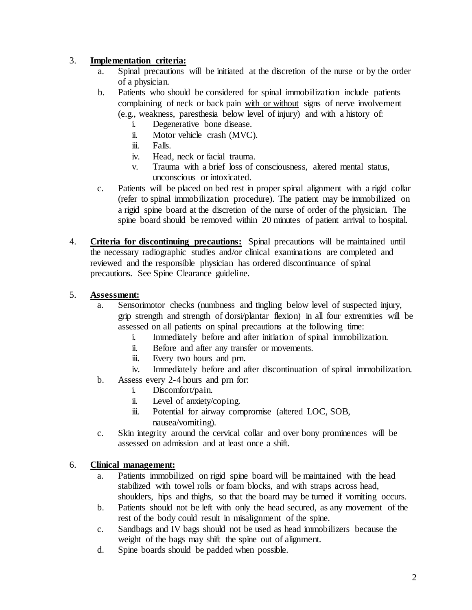# 3. **Implementation criteria:**

- a. Spinal precautions will be initiated at the discretion of the nurse or by the order of a physician.
- b. Patients who should be considered for spinal immobilization include patients complaining of neck or back pain with or without signs of nerve involvement (e.g., weakness, paresthesia below level of injury) and with a history of:
	- i. Degenerative bone disease.
	- ii. Motor vehicle crash (MVC).
	- iii. Falls.
	- iv. Head, neck or facial trauma.
	- v. Trauma with a brief loss of consciousness, altered mental status, unconscious or intoxicated.
- c. Patients will be placed on bed rest in proper spinal alignment with a rigid collar (refer to spinal immobilization procedure). The patient may be immobilized on a rigid spine board at the discretion of the nurse of order of the physician. The spine board should be removed within 20 minutes of patient arrival to hospital.
- 4. **Criteria for discontinuing precautions:** Spinal precautions will be maintained until the necessary radiographic studies and/or clinical examinations are completed and reviewed and the responsible physician has ordered discontinuance of spinal precautions. See Spine Clearance guideline.

# 5. **Assessment:**

- a. Sensorimotor checks (numbness and tingling below level of suspected injury, grip strength and strength of dorsi/plantar flexion) in all four extremities will be assessed on all patients on spinal precautions at the following time:
	- i. Immediately before and after initiation of spinal immobilization.
	- ii. Before and after any transfer or movements.
	- iii. Every two hours and prn.
	- iv. Immediately before and after discontinuation of spinal immobilization.
- b. Assess every 2-4 hours and prn for:
	- i. Discomfort/pain.
	- ii. Level of anxiety/coping.
	- iii. Potential for airway compromise (altered LOC, SOB, nausea/vomiting).
- c. Skin integrity around the cervical collar and over bony prominences will be assessed on admission and at least once a shift.

# 6. **Clinical management:**

- a. Patients immobilized on rigid spine board will be maintained with the head stabilized with towel rolls or foam blocks, and with straps across head, shoulders, hips and thighs, so that the board may be turned if vomiting occurs.
- b. Patients should not be left with only the head secured, as any movement of the rest of the body could result in misalignment of the spine.
- c. Sandbags and IV bags should not be used as head immobilizers because the weight of the bags may shift the spine out of alignment.
- d. Spine boards should be padded when possible.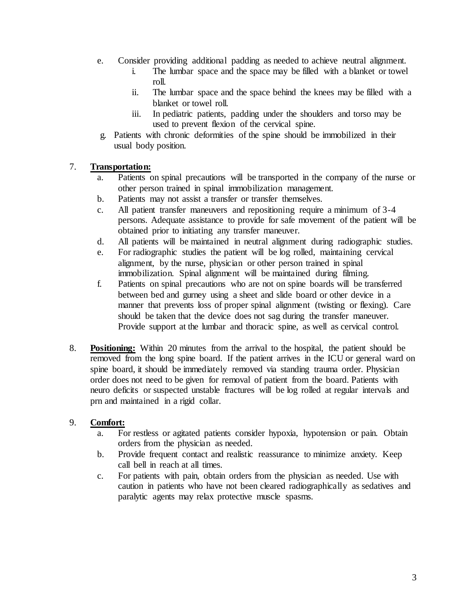- e. Consider providing additional padding as needed to achieve neutral alignment.
	- i. The lumbar space and the space may be filled with a blanket or towel roll.
	- ii. The lumbar space and the space behind the knees may be filled with a blanket or towel roll.
	- iii. In pediatric patients, padding under the shoulders and torso may be used to prevent flexion of the cervical spine.
- g. Patients with chronic deformities of the spine should be immobilized in their usual body position.

# 7. **Transportation:**

- a. Patients on spinal precautions will be transported in the company of the nurse or other person trained in spinal immobilization management.
- b. Patients may not assist a transfer or transfer themselves.
- c. All patient transfer maneuvers and repositioning require a minimum of 3-4 persons. Adequate assistance to provide for safe movement of the patient will be obtained prior to initiating any transfer maneuver.
- d. All patients will be maintained in neutral alignment during radiographic studies.
- e. For radiographic studies the patient will be log rolled, maintaining cervical alignment, by the nurse, physician or other person trained in spinal immobilization. Spinal alignment will be maintained during filming.
- f. Patients on spinal precautions who are not on spine boards will be transferred between bed and gurney using a sheet and slide board or other device in a manner that prevents loss of proper spinal alignment (twisting or flexing). Care should be taken that the device does not sag during the transfer maneuver. Provide support at the lumbar and thoracic spine, as well as cervical control.
- 8. **Positioning:** Within 20 minutes from the arrival to the hospital, the patient should be removed from the long spine board. If the patient arrives in the ICU or general ward on spine board, it should be immediately removed via standing trauma order. Physician order does not need to be given for removal of patient from the board. Patients with neuro deficits or suspected unstable fractures will be log rolled at regular intervals and prn and maintained in a rigid collar.

# 9. **Comfort:**

- a. For restless or agitated patients consider hypoxia, hypotension or pain. Obtain orders from the physician as needed.
- b. Provide frequent contact and realistic reassurance to minimize anxiety. Keep call bell in reach at all times.
- c. For patients with pain, obtain orders from the physician as needed. Use with caution in patients who have not been cleared radiographically as sedatives and paralytic agents may relax protective muscle spasms.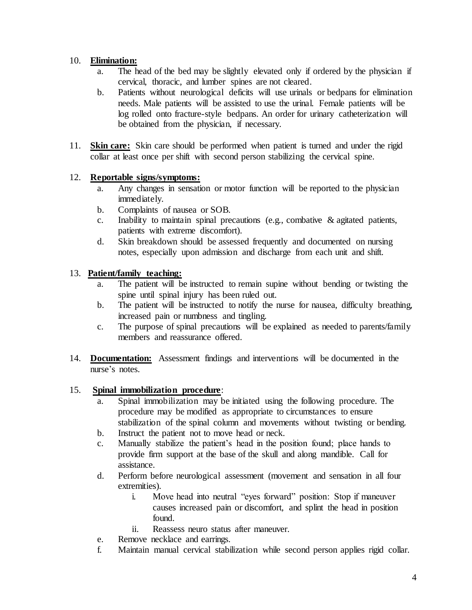# 10. **Elimination:**

- a. The head of the bed may be slightly elevated only if ordered by the physician if cervical, thoracic, and lumber spines are not cleared.
- b. Patients without neurological deficits will use urinals or bedpans for elimination needs. Male patients will be assisted to use the urinal. Female patients will be log rolled onto fracture-style bedpans. An order for urinary catheterization will be obtained from the physician, if necessary.
- 11. **Skin care:** Skin care should be performed when patient is turned and under the rigid collar at least once per shift with second person stabilizing the cervical spine.

### 12. **Reportable signs/symptoms:**

- a. Any changes in sensation or motor function will be reported to the physician immediately.
- b. Complaints of nausea or SOB.
- c. Inability to maintain spinal precautions (e.g., combative & agitated patients, patients with extreme discomfort).
- d. Skin breakdown should be assessed frequently and documented on nursing notes, especially upon admission and discharge from each unit and shift.

### 13. **Patient/family teaching:**

- a. The patient will be instructed to remain supine without bending or twisting the spine until spinal injury has been ruled out.
- b. The patient will be instructed to notify the nurse for nausea, difficulty breathing, increased pain or numbness and tingling.
- c. The purpose of spinal precautions will be explained as needed to parents/family members and reassurance offered.
- 14. **Documentation:** Assessment findings and interventions will be documented in the nurse's notes.

# 15. **Spinal immobilization procedure**:

- a. Spinal immobilization may be initiated using the following procedure. The procedure may be modified as appropriate to circumstances to ensure stabilization of the spinal column and movements without twisting or bending.
- b. Instruct the patient not to move head or neck.
- c. Manually stabilize the patient's head in the position found; place hands to provide firm support at the base of the skull and along mandible. Call for assistance.
- d. Perform before neurological assessment (movement and sensation in all four extremities).
	- i. Move head into neutral "eyes forward" position: Stop if maneuver causes increased pain or discomfort, and splint the head in position found.
	- ii. Reassess neuro status after maneuver.
- e. Remove necklace and earrings.
- f. Maintain manual cervical stabilization while second person applies rigid collar.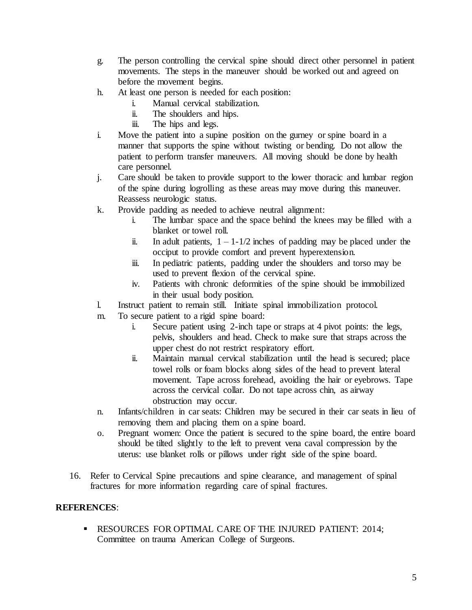- g. The person controlling the cervical spine should direct other personnel in patient movements. The steps in the maneuver should be worked out and agreed on before the movement begins.
- h. At least one person is needed for each position:
	- i. Manual cervical stabilization.
	- ii. The shoulders and hips.
	- iii. The hips and legs.
- i. Move the patient into a supine position on the gurney or spine board in a manner that supports the spine without twisting or bending. Do not allow the patient to perform transfer maneuvers. All moving should be done by health care personnel.
- j. Care should be taken to provide support to the lower thoracic and lumbar region of the spine during logrolling as these areas may move during this maneuver. Reassess neurologic status.
- k. Provide padding as needed to achieve neutral alignment:
	- i. The lumbar space and the space behind the knees may be filled with a blanket or towel roll.
	- ii. In adult patients,  $1 1 1/2$  inches of padding may be placed under the occiput to provide comfort and prevent hyperextension.
	- iii. In pediatric patients, padding under the shoulders and torso may be used to prevent flexion of the cervical spine.
	- iv. Patients with chronic deformities of the spine should be immobilized in their usual body position.
- l. Instruct patient to remain still. Initiate spinal immobilization protocol.
- m. To secure patient to a rigid spine board:
	- i. Secure patient using 2-inch tape or straps at 4 pivot points: the legs, pelvis, shoulders and head. Check to make sure that straps across the upper chest do not restrict respiratory effort.
	- ii. Maintain manual cervical stabilization until the head is secured; place towel rolls or foam blocks along sides of the head to prevent lateral movement. Tape across forehead, avoiding the hair or eyebrows. Tape across the cervical collar. Do not tape across chin, as airway obstruction may occur.
- n. Infants/children in car seats: Children may be secured in their car seats in lieu of removing them and placing them on a spine board.
- o. Pregnant women: Once the patient is secured to the spine board, the entire board should be tilted slightly to the left to prevent vena caval compression by the uterus: use blanket rolls or pillows under right side of the spine board.
- 16. Refer to Cervical Spine precautions and spine clearance, and management of spinal fractures for more information regarding care of spinal fractures.

#### **REFERENCES**:

 RESOURCES FOR OPTIMAL CARE OF THE INJURED PATIENT: 2014; Committee on trauma American College of Surgeons.